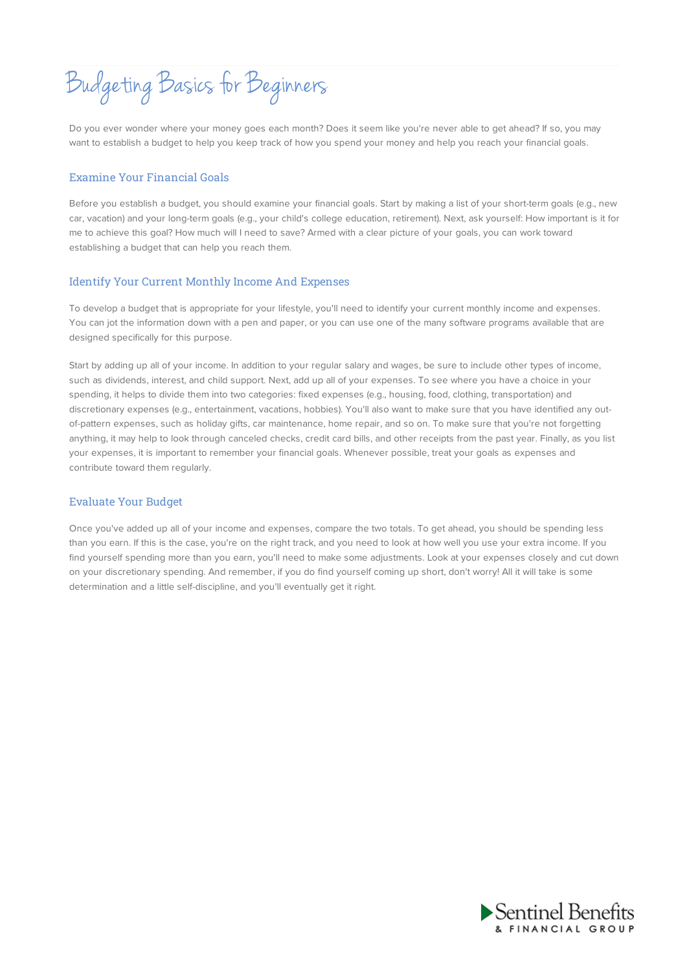Budgeting Basics for Beginners

Do you ever wonder where your money goes each month? Does it seem like you're never able to get ahead? If so, you may want to establish a budget to help you keep track of how you spend your money and help you reach your financial goals.

## Examine Your Financial Goals

Before you establish a budget, you should examine your financial goals. Start by making a list of your short-term goals (e.g., new car, vacation) and your long-term goals (e.g., your child's college education, retirement). Next, ask yourself: How important is it for me to achieve this goal? How much will I need to save? Armed with a clear picture of your goals, you can work toward establishing a budget that can help you reach them.

## Identify Your Current Monthly Income And Expenses

To develop a budget that is appropriate for your lifestyle, you'll need to identify your current monthly income and expenses. You can jot the information down with a pen and paper, or you can use one of the many software programs available that are designed specifically for this purpose.

Start by adding up all of your income. In addition to your regular salary and wages, be sure to include other types of income, such as dividends, interest, and child support. Next, add up all of your expenses. To see where you have a choice in your spending, it helps to divide them into two categories: fixed expenses (e.g., housing, food, clothing, transportation) and discretionary expenses (e.g., entertainment, vacations, hobbies). You'll also want to make sure that you have identified any outof-pattern expenses, such as holiday gifts, car maintenance, home repair, and so on. To make sure that you're not forgetting anything, it may help to look through canceled checks, credit card bills, and other receipts from the past year. Finally, as you list your expenses, it is important to remember your financial goals. Whenever possible, treat your goals as expenses and contribute toward them regularly.

## Evaluate Your Budget

Once you've added up all of your income and expenses, compare the two totals. To get ahead, you should be spending less than you earn. If this is the case, you're on the right track, and you need to look at how well you use your extra income. If you find yourself spending more than you earn, you'll need to make some adjustments. Look at your expenses closely and cut down on your discretionary spending. And remember, if you do find yourself coming up short, don't worry! All it will take is some determination and a little self-discipline, and you'll eventually get it right.